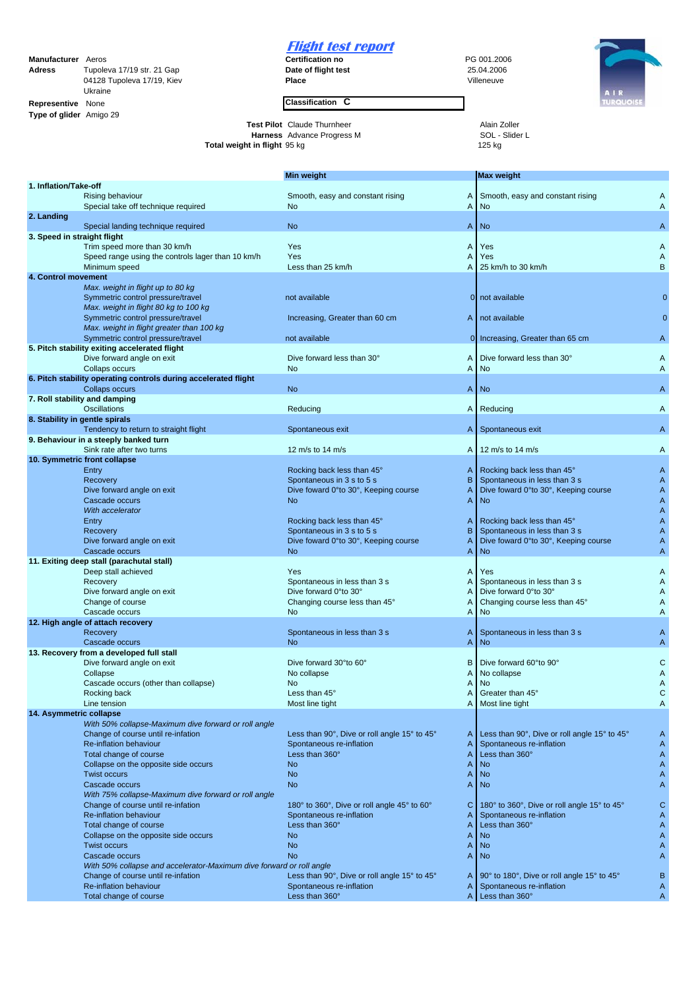## **Manufacturer** Aeros **PG 001.2006**<br> **Adress Certification no** PG 001.2006<br> **PG 001.2006**<br> **Date of flight test** 25.04.2006 **Adress** Tupoleva 17/19 str. 21 Gap **Date of flight test** 25.04.2006<br> **Date of flight test** 25.04.2006<br> **Place Place** 25.04.2006 04128 Tupoleva 17/19, Kiev Ukraine **Representive** None **Classification C Type of glider** Amigo 29

## **Flight test report**<br>Certification no

**Test Pilot** Claude Thurnheer **Alain Zoller Harness** Advance Progress M<br> **Alain Zoller L**<br> **Alain Zoller Alain Zoller L**<br> **Alain Zoller L**<br> **Alain Zoller L**<br> **Alain Zoller L**<br> **Alain Zoller L**<br> **Alain Zoller L**<br> **Alain Zol Harness** Advance Progress M SOL - Slider L **Total weight in flight** 95 kg 125 kg 125 kg 125 kg 125 kg 125 kg 125 kg 125 kg 125 kg 125 kg 125 kg 125 kg 125 kg 125 kg 126 kg 127 kg 128 kg 128 kg 128 kg 128 kg 128 kg 128 kg 128 kg 128 kg 128 kg 128 kg 128 kg 128 kg 12



|                                |                                                                                            | <b>Min weight</b>                                                           | <b>Max weight</b>                                                           |              |
|--------------------------------|--------------------------------------------------------------------------------------------|-----------------------------------------------------------------------------|-----------------------------------------------------------------------------|--------------|
| 1. Inflation/Take-off          |                                                                                            |                                                                             |                                                                             |              |
|                                | <b>Rising behaviour</b>                                                                    | Smooth, easy and constant rising<br>A                                       | Smooth, easy and constant rising                                            | A            |
|                                | Special take off technique required                                                        | A<br>No                                                                     | No                                                                          | A            |
| 2. Landing                     | Special landing technique required                                                         | <b>No</b><br>A                                                              | <b>No</b>                                                                   | A            |
| 3. Speed in straight flight    |                                                                                            |                                                                             |                                                                             |              |
|                                | Trim speed more than 30 km/h                                                               | Yes<br>A                                                                    | Yes                                                                         | A            |
|                                | Speed range using the controls lager than 10 km/h                                          | Yes<br>A                                                                    | Yes                                                                         | A            |
|                                | Minimum speed                                                                              | Less than 25 km/h<br>A                                                      | 25 km/h to 30 km/h                                                          | B            |
| 4. Control movement            |                                                                                            |                                                                             |                                                                             |              |
|                                | Max. weight in flight up to 80 kg                                                          |                                                                             |                                                                             |              |
|                                | Symmetric control pressure/travel                                                          | not available                                                               | not available<br><sup>0</sup>                                               |              |
|                                | Max. weight in flight 80 kg to 100 kg<br>Symmetric control pressure/travel                 | Increasing, Greater than 60 cm<br>A                                         | not available                                                               |              |
|                                | Max. weight in flight greater than 100 kg                                                  |                                                                             |                                                                             |              |
|                                | Symmetric control pressure/travel                                                          | not available                                                               | 0 Increasing, Greater than 65 cm                                            | Α            |
|                                | 5. Pitch stability exiting accelerated flight                                              |                                                                             |                                                                             |              |
|                                | Dive forward angle on exit                                                                 | Dive forward less than 30°<br>A                                             | Dive forward less than 30°                                                  | A            |
|                                | Collaps occurs                                                                             | A<br>No                                                                     | No                                                                          | A            |
|                                | 6. Pitch stability operating controls during accelerated flight                            |                                                                             |                                                                             |              |
|                                | Collaps occurs                                                                             | <b>No</b><br>A                                                              | <b>No</b>                                                                   | A            |
|                                | 7. Roll stability and damping<br><b>Oscillations</b>                                       | Reducing<br>A                                                               | Reducing                                                                    | A            |
| 8. Stability in gentle spirals |                                                                                            |                                                                             |                                                                             |              |
|                                | Tendency to return to straight flight                                                      | Spontaneous exit<br>A                                                       | Spontaneous exit                                                            | A            |
|                                | 9. Behaviour in a steeply banked turn                                                      |                                                                             |                                                                             |              |
|                                | Sink rate after two turns                                                                  | 12 m/s to 14 m/s<br>A                                                       | 12 m/s to 14 m/s                                                            | A            |
|                                | 10. Symmetric front collapse                                                               |                                                                             |                                                                             |              |
|                                | Entry                                                                                      | Rocking back less than 45°<br>A                                             | Rocking back less than 45°                                                  | A            |
|                                | Recovery<br>Dive forward angle on exit                                                     | B<br>Spontaneous in 3 s to 5 s<br>A<br>Dive foward 0°to 30°, Keeping course | Spontaneous in less than 3 s<br>Dive foward 0°to 30°, Keeping course        | A<br>A       |
|                                | Cascade occurs                                                                             | A<br>No.                                                                    | <b>No</b>                                                                   | Α            |
|                                | With accelerator                                                                           |                                                                             |                                                                             | Α            |
|                                | Entry                                                                                      | Rocking back less than 45°<br>A                                             | Rocking back less than 45°                                                  | A            |
|                                | Recovery                                                                                   | B<br>Spontaneous in 3 s to 5 s                                              | Spontaneous in less than 3 s                                                | A            |
|                                | Dive forward angle on exit                                                                 | Dive foward 0°to 30°, Keeping course<br>A                                   | Dive foward 0°to 30°, Keeping course                                        | A            |
|                                | Cascade occurs                                                                             | A<br><b>No</b>                                                              | <b>No</b>                                                                   | Α            |
|                                | 11. Exiting deep stall (parachutal stall)<br>Deep stall achieved                           | Yes<br>A                                                                    | Yes                                                                         | A            |
|                                | Recovery                                                                                   | Spontaneous in less than 3 s<br>A                                           | Spontaneous in less than 3 s                                                | A            |
|                                | Dive forward angle on exit                                                                 | Dive forward 0° to 30°<br>A                                                 | Dive forward 0°to 30°                                                       | A            |
|                                | Change of course                                                                           | Changing course less than 45°<br>A                                          | Changing course less than 45°                                               | Α            |
|                                | Cascade occurs                                                                             | <b>No</b><br>A                                                              | <b>No</b>                                                                   | A            |
|                                | 12. High angle of attach recovery                                                          |                                                                             |                                                                             |              |
|                                | Recovery                                                                                   | Spontaneous in less than 3 s<br>A                                           | Spontaneous in less than 3 s                                                | A            |
|                                | Cascade occurs                                                                             | <b>No</b><br>A                                                              | <b>No</b>                                                                   | Α            |
|                                | 13. Recovery from a developed full stall<br>Dive forward angle on exit                     | Dive forward 30°to 60°<br>в                                                 | Dive forward 60°to 90°                                                      | C            |
|                                | Collapse                                                                                   | No collapse<br>A                                                            | No collapse                                                                 | Α            |
|                                | Cascade occurs (other than collapse)                                                       | A<br>No.                                                                    | No                                                                          | A            |
|                                | Rocking back                                                                               | $\overline{A}$<br>Less than 45°                                             | Greater than 45°                                                            | $\mathsf{C}$ |
|                                | Line tension                                                                               | Most line tight                                                             | A   Most line tight                                                         | Α            |
| 14. Asymmetric collapse        |                                                                                            |                                                                             |                                                                             |              |
|                                | With 50% collapse-Maximum dive forward or roll angle<br>Change of course until re-infation | Less than 90 $^{\circ}$ , Dive or roll angle 15 $^{\circ}$ to 45 $^{\circ}$ | Less than 90 $^{\circ}$ , Dive or roll angle 15 $^{\circ}$ to 45 $^{\circ}$ | A            |
|                                | Re-inflation behaviour                                                                     | A<br>Spontaneous re-inflation<br>A                                          | Spontaneous re-inflation                                                    | A            |
|                                | Total change of course                                                                     | Less than 360°<br>A                                                         | Less than 360°                                                              | A            |
|                                | Collapse on the opposite side occurs                                                       | <b>No</b><br>A                                                              | <b>No</b>                                                                   | A            |
|                                | <b>Twist occurs</b>                                                                        | No<br>A                                                                     | <b>No</b>                                                                   | A            |
|                                | Cascade occurs                                                                             | <b>No</b><br>A                                                              | <b>No</b>                                                                   | Α            |
|                                | With 75% collapse-Maximum dive forward or roll angle                                       |                                                                             |                                                                             |              |
|                                | Change of course until re-infation                                                         | 180° to 360°, Dive or roll angle 45° to 60°<br>C                            | 180° to 360°, Dive or roll angle 15° to 45°                                 | C            |
|                                | Re-inflation behaviour<br>Total change of course                                           | Spontaneous re-inflation<br>A<br>Less than 360°<br>A                        | Spontaneous re-inflation<br>Less than 360°                                  | A<br>A       |
|                                | Collapse on the opposite side occurs                                                       | <b>No</b><br>A                                                              | <b>No</b>                                                                   | A            |
|                                | <b>Twist occurs</b>                                                                        | No<br>A                                                                     | <b>No</b>                                                                   | A            |
|                                | Cascade occurs                                                                             | <b>No</b><br>A                                                              | <b>No</b>                                                                   | A            |
|                                | With 50% collapse and accelerator-Maximum dive forward or roll angle                       |                                                                             |                                                                             |              |
|                                | Change of course until re-infation                                                         | Less than 90°, Dive or roll angle 15° to 45°<br>A                           | 90° to 180°, Dive or roll angle 15° to 45°                                  | B            |
|                                | Re-inflation behaviour                                                                     | Spontaneous re-inflation<br>A<br>A                                          | Spontaneous re-inflation<br>Less than 360°                                  | A            |
|                                | Total change of course                                                                     | Less than 360°                                                              |                                                                             | A            |